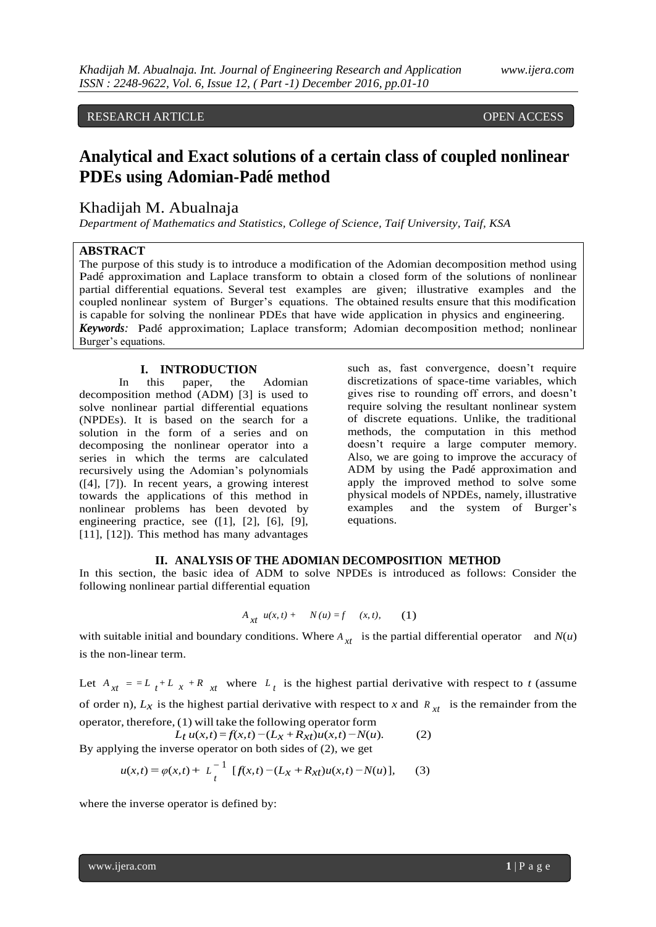# RESEARCH ARTICLE OPEN ACCESS

# **Analytical and Exact solutions of a certain class of coupled nonlinear PDEs** using Adomian-Padé method

# Khadijah M. Abualnaja

*Department of Mathematics and Statistics, College of Science, Taif University, Taif, KSA* 

## **ABSTRACT**

The purpose of this study is to introduce a modification of the Adomian decomposition method using Padé approximation and Laplace transform to obtain a closed form of the solutions of nonlinear partial differential equations. Several test examples are given; illustrative examples and the coupled nonlinear system of Burger's equations. The obtained results ensure that this modification is capable for solving the nonlinear PDEs that have wide application in physics and engineering. *Keywords*: Padé approximation; Laplace transform; Adomian decomposition method; nonlinear Burger's equations.

#### **I. INTRODUCTION**

In this paper, the Adomian decomposition method (ADM) [3] is used to solve nonlinear partial differential equations (NPDEs). It is based on the search for a solution in the form of a series and on decomposing the nonlinear operator into a series in which the terms are calculated recursively using the Adomian's polynomials ([4], [7]). In recent years, a growing interest towards the applications of this method in nonlinear problems has been devoted by engineering practice, see ([1], [2], [6], [9], [11], [12]). This method has many advantages

such as, fast convergence, doesn't require discretizations of space-time variables, which gives rise to rounding off errors, and doesn't require solving the resultant nonlinear system of discrete equations. Unlike, the traditional methods, the computation in this method doesn't require a large computer memory. Also, we are going to improve the accuracy of ADM by using the Padé approximation and apply the improved method to solve some physical models of NPDEs, namely, illustrative examples and the system of Burger's equations.

## **II. ANALYSIS OF THE ADOMIAN DECOMPOSITION METHOD**

In this section, the basic idea of ADM to solve NPDEs is introduced as follows: Consider the following nonlinear partial differential equation

$$
A_{xt} u(x, t) + N(u) = f (x, t), (1)
$$

with suitable initial and boundary conditions. Where  $A_{xt}$  is the partial differential operator and  $N(u)$ is the non-linear term.

Let  $A_{xt} = -L_t + L_x + R_{xt}$  where  $L_t$  is the highest partial derivative with respect to *t* (assume of order n),  $L_x$  is the highest partial derivative with respect to *x* and  $R_{xt}$  is the remainder from the operator, therefore, (1) will take the following operator form

$$
L_t u(x,t) = f(x,t) - (L_x + R_{xt})u(x,t) - N(u).
$$
 (2)  
By applying the inverse operator on both sides of (2), we get

$$
u(x,t) = \varphi(x,t) + L_t^{-1} [f(x,t) - (L_x + R_{xt})u(x,t) - N(u)],
$$
 (3)

where the inverse operator is defined by:

www.ijera.com **1** | P a g e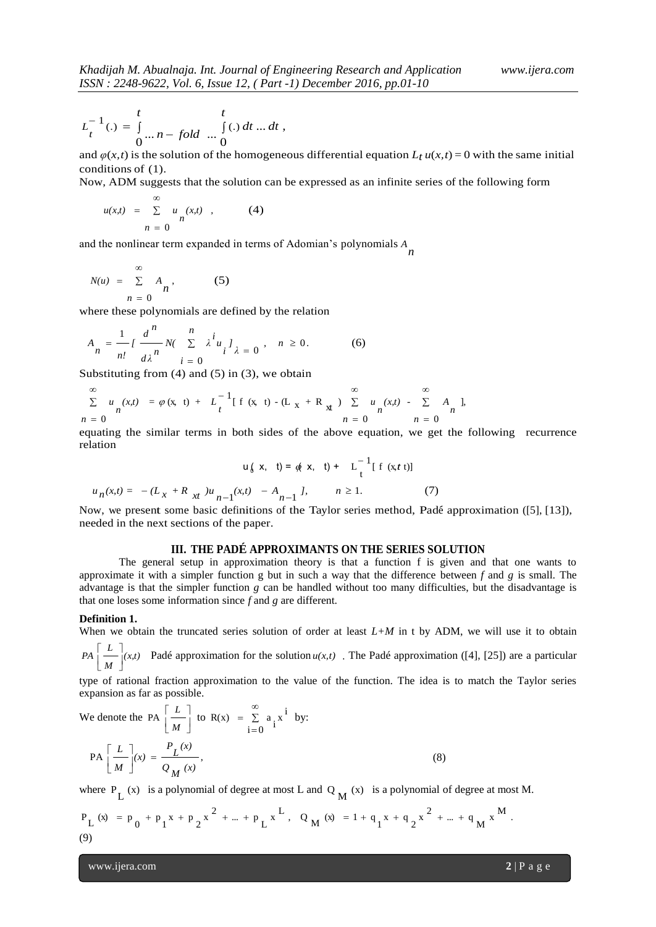$$
L_t^{-1}(.) = \int_{0}^{t} ... n - fold ... \int_{0}^{t} () dt ... dt,
$$

and  $\varphi(x, t)$  is the solution of the homogeneous differential equation  $L_t u(x, t) = 0$  with the same initial conditions of (1).

Now, ADM suggests that the solution can be expressed as an infinite series of the following form

$$
u(x,t) = \sum_{n=0}^{\infty} u_n(x,t) , \qquad (4)
$$

and the nonlinear term expanded in terms of Adomian's polynomials *n A*

$$
N(u) = \sum_{n=0}^{\infty} A_n,
$$
 (5)

where these polynomials are defined by the relation

$$
A_{n} = \frac{1}{n!} \int \frac{d^{n}}{d\lambda^{n}} N(\sum_{i=0}^{n} \lambda^{i} u_{i}^{j})_{\lambda = 0}, \quad n \ge 0.
$$
 (6)

Substituting from  $(4)$  and  $(5)$  in  $(3)$ , we obtain

$$
\sum_{n=0}^{\infty} u_n(x,t) = \varphi(x, t) + L_t^{-1} [f(x, t) - (L_x + R_x) \sum_{n=0}^{\infty} u_n(x,t) - \sum_{n=0}^{\infty} A_n],
$$

equating the similar terms in both sides of the above equation, we get the following recurrence relation

$$
u\{\mathbf{x}, \mathbf{t}\} = \phi\{\mathbf{x}, \mathbf{t}\} + L^{-1}_{t} [f(\mathbf{x}, t)]
$$
  

$$
u_n(x, t) = -(L_x + R_{xt})u_{n-1}(x, t) - A_{n-1} J, \qquad n \ge 1.
$$
 (7)

Now, we present some basic definitions of the Taylor series method, Padé approximation ([5], [13]), needed in the next sections of the paper.

#### **III. THE PADÉ APPROXIMANTS ON THE SERIES SOLUTION**

The general setup in approximation theory is that a function f is given and that one wants to approximate it with a simpler function g but in such a way that the difference between *f* and *g* is small. The advantage is that the simpler function *g* can be handled without too many difficulties, but the disadvantage is that one loses some information since *f* and *g* are different.

### **Definition 1.**

When we obtain the truncated series solution of order at least  $L+M$  in t by ADM, we will use it to obtain  $\overline{\phantom{a}}$ 

*(x,t) M*  $PA\left[\frac{L}{M}\right]$ L  $\vert L \vert_{(x,t)}$  Padé approximation for the solution  $u(x,t)$ . The Padé approximation ([4], [25]) are a particular

type of rational fraction approximation to the value of the function. The idea is to match the Taylor series expansion as far as possible.

We denote the PA 
$$
\left[\frac{L}{M}\right]
$$
 to R(x) =  $\sum_{i=0}^{\infty} a_i x^i$  by:  
PA  $\left[\frac{L}{M}\right](x) = \frac{P_L(x)}{Q_M(x)}$ , (8)

where  $P_L(x)$  is a polynomial of degree at most L and Q<sub>M</sub> (x) is a polynomial of degree at most M.

$$
P_{L}(x) = p_{0} + p_{1}x + p_{2}x^{2} + ... + p_{L}x^{L}, Q_{M}(x) = 1 + q_{1}x + q_{2}x^{2} + ... + q_{M}x^{M}.
$$
\n(9)

www.ijera.com **2** | P a g e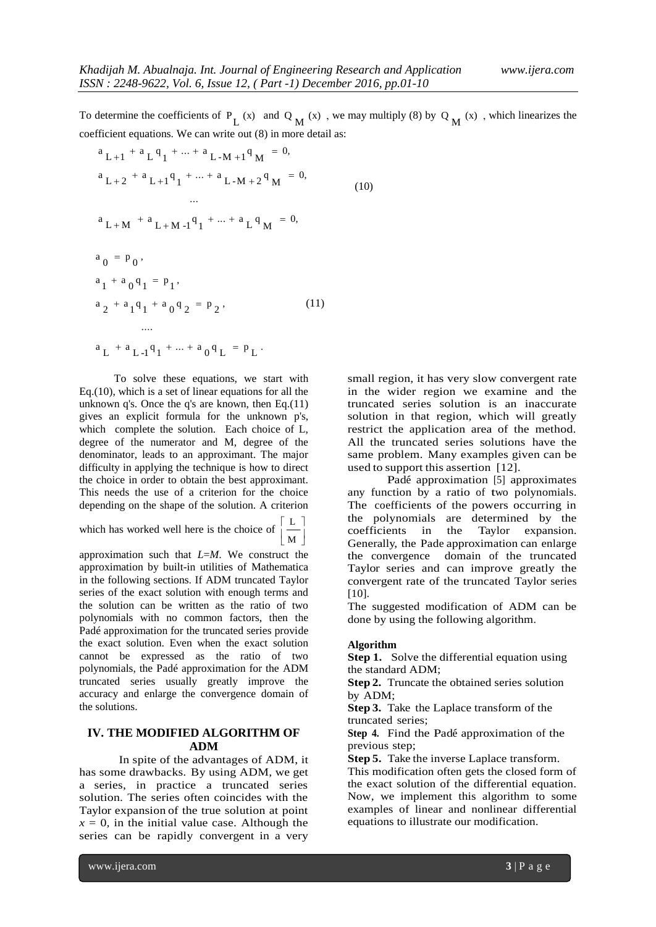To determine the coefficients of  $P_L(x)$  and  $Q_M(x)$ , we may multiply (8) by  $Q_M(x)$ , which linearizes the coefficient equations. We can write out (8) in more detail as:

(10)

$$
{}^{a}L+1 + {}^{a}L {}^{q}1 + \dots + {}^{a}L-M+1 {}^{q}M = 0,
$$
  
\n
$$
{}^{a}L+2 + {}^{a}L+1 {}^{q}1 + \dots + {}^{a}L-M+2 {}^{q}M = 0,
$$
  
\n
$$
{}^{a}L+M + {}^{a}L+M-1 {}^{q}1 + \dots + {}^{a}L {}^{q}M = 0,
$$
  
\n
$$
{}^{a}0 = P_{0},
$$
  
\n
$$
{}^{a}1 + {}^{a}0 {}^{q}1 = P_{1},
$$
  
\n
$$
{}^{a}2 + {}^{a}1 {}^{q}1 + {}^{a}0 {}^{q}2 = P_{2},
$$
  
\n
$$
{}^{a}L + {}^{a}L-1 {}^{q}1 + \dots + {}^{a}0 {}^{q}L = P_{L}.
$$
  
\n(11)

To solve these equations, we start with Eq.(10), which is a set of linear equations for all the unknown q's. Once the q's are known, then Eq.(11) gives an explicit formula for the unknown p's, which complete the solution. Each choice of L, degree of the numerator and M, degree of the denominator, leads to an approximant. The major difficulty in applying the technique is how to direct the choice in order to obtain the best approximant. This needs the use of a criterion for the choice depending on the shape of the solution. A criterion

which has worked well here is the choice of  $\left[\frac{2}{M}\right]$ J L  $\mathsf{L}$ M L

approximation such that *L*=*M*. We construct the approximation by built-in utilities of Mathematica in the following sections. If ADM truncated Taylor series of the exact solution with enough terms and the solution can be written as the ratio of two polynomials with no common factors, then the Padé approximation for the truncated series provide the exact solution. Even when the exact solution cannot be expressed as the ratio of two polynomials, the Padé approximation for the ADM truncated series usually greatly improve the accuracy and enlarge the convergence domain of the solutions.

# **IV. THE MODIFIED ALGORITHM OF ADM**

In spite of the advantages of ADM, it has some drawbacks. By using ADM, we get a series, in practice a truncated series solution. The series often coincides with the Taylor expansion of the true solution at point  $x = 0$ , in the initial value case. Although the series can be rapidly convergent in a very

small region, it has very slow convergent rate in the wider region we examine and the truncated series solution is an inaccurate solution in that region, which will greatly restrict the application area of the method. All the truncated series solutions have the same problem. Many examples given can be used to support this assertion [12].

Padé approximation [5] approximates any function by a ratio of two polynomials. The coefficients of the powers occurring in the polynomials are determined by the coefficients in the Taylor expansion. Generally, the Pade approximation can enlarge the convergence domain of the truncated Taylor series and can improve greatly the convergent rate of the truncated Taylor series [10].

The suggested modification of ADM can be done by using the following algorithm.

#### **Algorithm**

**Step 1.** Solve the differential equation using the standard ADM;

**Step 2.** Truncate the obtained series solution by ADM;

**Step 3.** Take the Laplace transform of the truncated series;

**Step 4.** Find the Padé approximation of the previous step;

**Step 5.** Take the inverse Laplace transform. This modification often gets the closed form of the exact solution of the differential equation. Now, we implement this algorithm to some

examples of linear and nonlinear differential

equations to illustrate our modification.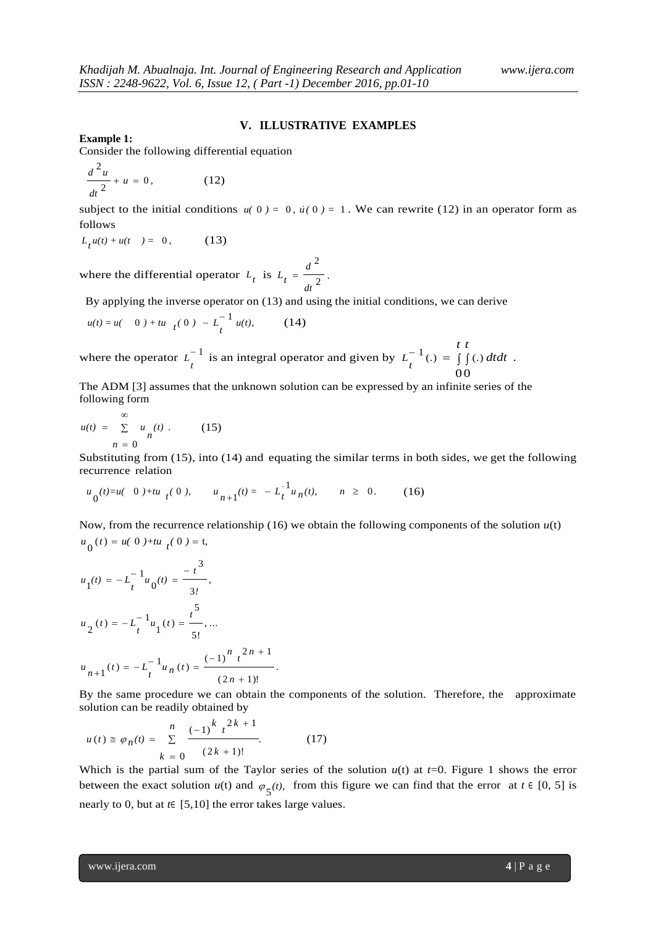## **V. ILLUSTRATIVE EXAMPLES**

**Example 1:**

Consider the following differential equation

$$
\frac{d^2u}{dt^2} + u = 0,\t(12)
$$

subject to the initial conditions  $u(0) = 0$ ,  $\dot{u}(0) = 1$ . We can rewrite (12) in an operator form as follows

 $L_t u(t) + u(t) = 0,$ (13)

where the differential operator  $L_t$  is  $L_t = \frac{a}{l_0^2}$ 2 *dt d*  $L_t = \frac{L}{2}$ .

By applying the inverse operator on (13) and using the initial conditions, we can derive

$$
u(t) = u(0) + tu_{t} (0) - L_{t}^{-1} u(t), \qquad (14)
$$

where the operator  $L^{-1}$  $L_t^{-1}$  is an integral operator and given by  $L_t^{-1}$  (.) =  $\iint_t^t$  $L_t^{-1}(.) = \iint_{\Omega} (.) dt dt$ 0 0  $\int_0^1(.) = \int_0^1(.) dt dt$ .

The ADM [3] assumes that the unknown solution can be expressed by an infinite series of the following form

$$
u(t) = \sum_{n=0}^{\infty} u_n(t) . \qquad (15)
$$

Substituting from (15), into (14) and equating the similar terms in both sides, we get the following recurrence relation

$$
u_0(t) = u(0) + tu_t(0), \qquad u_{n+1}(t) = -L_t^{-1} u_n(t), \qquad n \ge 0. \tag{16}
$$

Now, from the recurrence relationship (16) we obtain the following components of the solution *u*(t)  $u_0(t) = u(0) + tu_t(0) = t,$ 

$$
u_1(t) = -L_t^{-1} u_0(t) = \frac{-t^3}{3!},
$$
  
\n
$$
u_2(t) = -L_t^{-1} u_1(t) = \frac{t^5}{5!}, ...
$$
  
\n
$$
u_{n+1}(t) = -L_t^{-1} u_n(t) = \frac{(-1)^n t^{2n+1}}{(2n+1)!}.
$$

By the same procedure we can obtain the components of the solution. Therefore, the approximate solution can be readily obtained by

$$
u(t) \cong \varphi_n(t) = \sum_{k=0}^{n} \frac{(-1)^{k} t^{2k+1}}{(2k+1)!}.
$$
 (17)

Which is the partial sum of the Taylor series of the solution  $u(t)$  at  $t=0$ . Figure 1 shows the error between the exact solution  $u(t)$  and  $\varphi_5(t)$ , from this figure we can find that the error at  $t \in [0, 5]$  is nearly to 0, but at *t*<sup>∈</sup> [5,10] the error takes large values.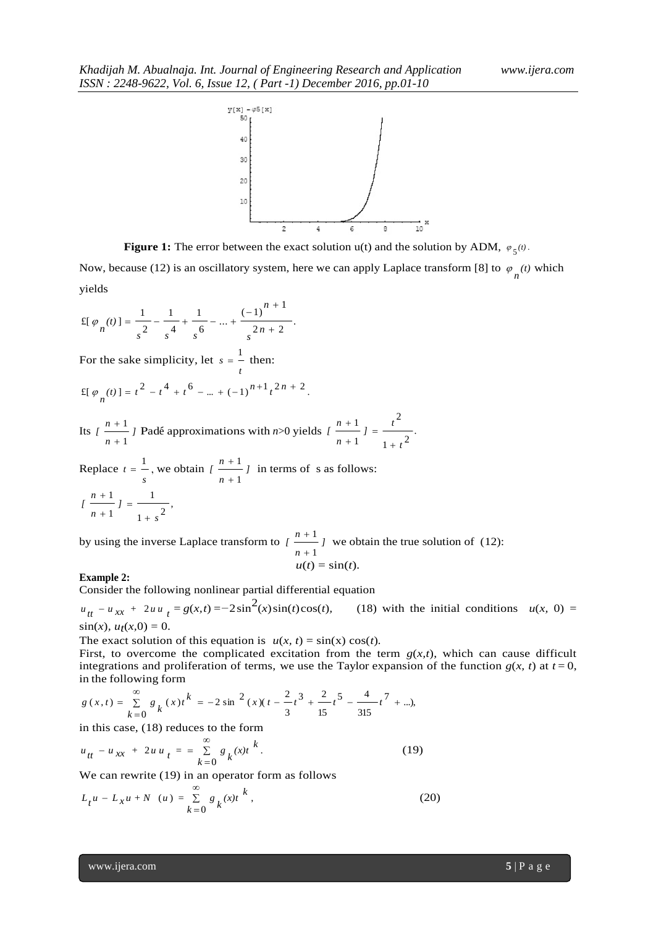

**Figure 1:** The error between the exact solution  $u(t)$  and the solution by ADM,  $\varphi_5(t)$ .

Now, because (12) is an oscillatory system, here we can apply Laplace transform [8] to  $\varphi_n(t)$  which yields

$$
\mathbb{E}[\varphi_n(t)] = \frac{1}{s^2} - \frac{1}{s^4} + \frac{1}{s^6} - \dots + \frac{(-1)^{n+1}}{s^{2n+2}}.
$$

For the sake simplicity, let *t*  $s = \frac{1}{s}$  then:

$$
\mathsf{E}[\varphi_n(t)] = t^2 - t^4 + t^6 - \dots + (-1)^{n+1} t^{2n+2}.
$$

Its  $\left\lceil \frac{n+1}{2} \right\rceil$ *n*  $\binom{n}{k}$ 1 1  $^{+}$  $\frac{n+1}{n+1}$  *J* Padé approximations with *n*>0 yields  $\left(\frac{n+1}{n+1}\right) = \frac{t^2}{1+t^2}$ . 2 1 1 *t*  $l = \frac{t}{t}$ *n*  $\int$ <sup>*n*</sup>  $^{+}$  $=$  $^{+}$  $^{+}$ 

Replace *s*  $t = \frac{1}{n}$ , we obtain  $\left[\frac{n+1}{n}\right]$ *n*  $\binom{n}{k}$ 1 1  $\ddot{}$  $\frac{+1}{-}$  *j* in terms of s as follows:  $\frac{1+s^2}{1+s^2}$ 1 1 *]*  $\binom{n}{k}$  $=$  $^{+}$ 

by using the inverse Laplace transform to  $\left\lceil \frac{n+1}{n} \right\rceil$ *n*  $\int$ <sup>*n*</sup> 1 1  $\ddot{}$  $+1$  we obtain the true solution of (12):  $u(t) = \sin(t)$ .

#### **Example 2:**

1

 $^{+}$ 

*n*

*s*

 $^{+}$ 

Consider the following nonlinear partial differential equation

 $u_{tt} - u_{xx} + 2uu_{t} = g(x,t) = -2\sin^{2}(x)\sin(t)\cos(t)$ , (18) with the initial conditions  $u(x, 0) =$  $\sin(x)$ *,*  $u_t(x,0) = 0$ *.* 

The exact solution of this equation is  $u(x, t) = \sin(x) \cos(t)$ .

First, to overcome the complicated excitation from the term  $g(x,t)$ , which can cause difficult integrations and proliferation of terms, we use the Taylor expansion of the function  $g(x, t)$  at  $t = 0$ , in the following form

$$
g(x,t) = \sum_{k=0}^{\infty} g_k(x)t^k = -2\sin^2(x)(t - \frac{2}{3}t^3 + \frac{2}{15}t^5 - \frac{4}{315}t^7 + \ldots),
$$

in this case, (18) reduces to the form

$$
u_{tt} - u_{xx} + 2u u_t = \sum_{k=0}^{\infty} g_k(x)t^k.
$$
 (19)

We can rewrite (19) in an operator form as follows

$$
L_t u - L_x u + N(u) = \sum_{k=0}^{\infty} g_k(x) t^{k},
$$
 (20)

www.ijera.com **5** | P a g e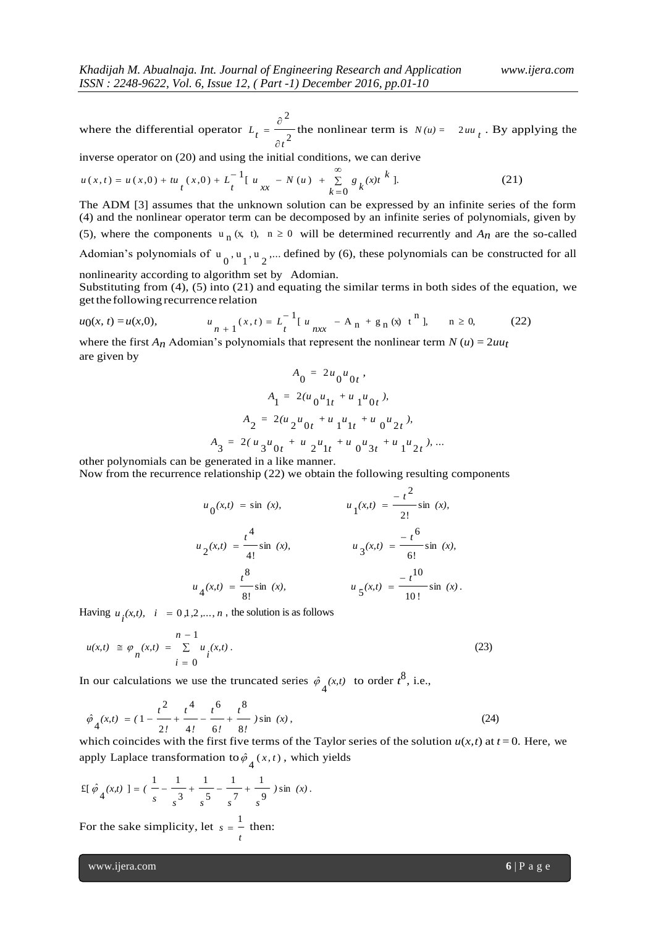where the differential operator  $L_t = \frac{Q}{2\epsilon^2}$ 2 *t t L*  $\hat{c}$  $=\frac{\partial^2}{\partial x^2}$  the nonlinear term is  $N(u) = 2uu_t$ . By applying the

inverse operator on (20) and using the initial conditions, we can derive

$$
u(x,t) = u(x,0) + tu_{t}(x,0) + L_{t}^{-1}[u_{xx} - N(u) + \sum_{k=0}^{\infty} g_{k}(x)t^{k}].
$$
 (21)

The ADM [3] assumes that the unknown solution can be expressed by an infinite series of the form (4) and the nonlinear operator term can be decomposed by an infinite series of polynomials, given by (5), where the components  $u_n(x, t)$ ,  $n \ge 0$  will be determined recurrently and  $A_n$  are the so-called Adomian's polynomials of  $u_0$ ,  $u_1$ ,  $u_2$ ,... defined by (6), these polynomials can be constructed for all nonlinearity according to algorithm set by Adomian.

Substituting from  $(4)$ ,  $(5)$  into  $(21)$  and equating the similar terms in both sides of the equation, we getthe following recurrence relation

$$
u_0(x, t) = u(x, 0), \qquad u_n + 1^{(x, t)} = L_t^{-1} \left[ u_{n x} - A_n + g_n (x) t^n \right], \qquad n \ge 0, \tag{22}
$$

where the first  $A_n$  Adomian's polynomials that represent the nonlinear term  $N(u) = 2uu_t$ are given by

$$
A_0 = 2u_0u_0t
$$
  
\n
$$
A_1 = 2(u_0u_{1t} + u_1u_{0t})
$$
  
\n
$$
A_2 = 2(u_2u_{0t} + u_1u_{1t} + u_0u_{2t})
$$
  
\n
$$
A_3 = 2(u_3u_{0t} + u_2u_{1t} + u_0u_{3t} + u_1u_{2t})
$$

other polynomials can be generated in a like manner.

Now from the recurrence relationship (22) we obtain the following resulting components

$$
u_0(x,t) = \sin (x),
$$
  
\n
$$
u_1(x,t) = \frac{-t^2}{2!} \sin (x),
$$
  
\n
$$
u_2(x,t) = \frac{t^4}{4!} \sin (x),
$$
  
\n
$$
u_3(x,t) = \frac{-t^6}{6!} \sin (x),
$$
  
\n
$$
u_4(x,t) = \frac{t^8}{8!} \sin (x),
$$
  
\n
$$
u_5(x,t) = \frac{-t^{10}}{10!} \sin (x).
$$

Having  $u_i(x,t)$ ,  $i = 0,1,2,...,n$ , the solution is as follows

$$
u(x,t) \; \cong \; \varphi_n(x,t) \; = \; \sum_{i=0}^{n-1} u_i(x,t) \,. \tag{23}
$$

In our calculations we use the truncated series  $\hat{\varphi}_4(x,t)$  to order  $t^8$ , i.e.,

$$
\hat{\varphi}_4(x,t) = (1 - \frac{t^2}{2!} + \frac{t^4}{4!} - \frac{t^6}{6!} + \frac{t^8}{8!}) \sin(x), \tag{24}
$$

which coincides with the first five terms of the Taylor series of the solution  $u(x, t)$  at  $t = 0$ . Here, we apply Laplace transformation to  $\hat{\varphi}_4(x,t)$ , which yields

$$
\pounds \left[ \hat{\varphi}_4(x, t) \right] = \left( \frac{1}{s} - \frac{1}{s^3} + \frac{1}{s^5} - \frac{1}{s^7} + \frac{1}{s^9} \right) \sin(x).
$$

For the sake simplicity, let *t*  $s = \frac{1}{s}$  then:

www.ijera.com **6** | P a g e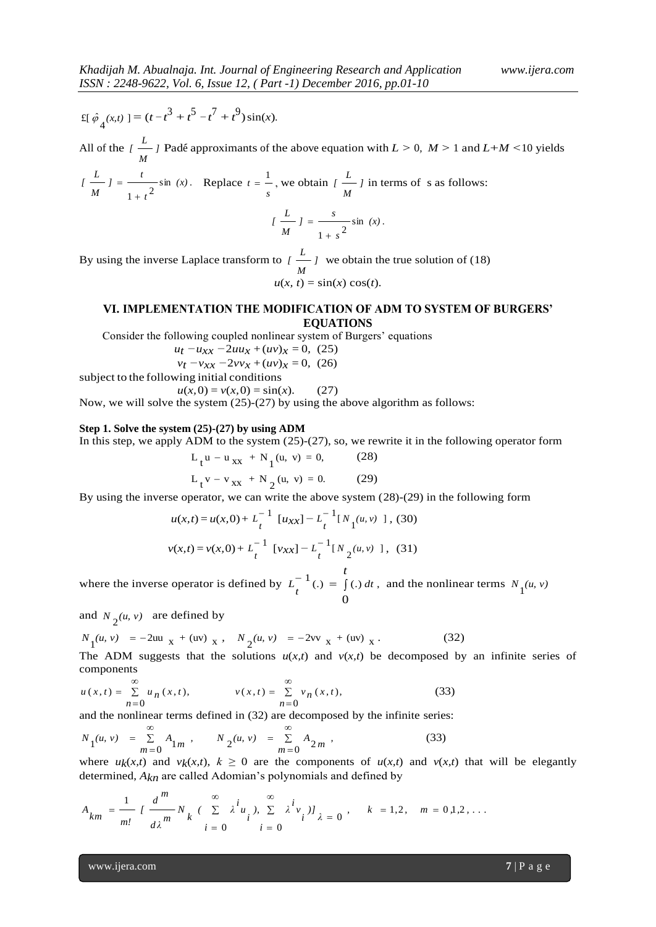$$
\pounds \left[ \hat{\varphi}_4(x, t) \right] = (t - t^3 + t^5 - t^7 + t^9) \sin(x).
$$

All of the  $\sum_{i=1}^{n}$ *M*  $\sum_{l}$   $\frac{l}{m}$  Padé approximants of the above equation with  $L > 0$ ,  $M > 1$  and  $L + M < 10$  yields

$$
\left[\frac{L}{M}\right] = \frac{t}{1+t^2} \sin(x).
$$
 Replace  $t = \frac{1}{s}$ , we obtain  $\left[\frac{L}{M}\right]$  in terms of s as follows:  

$$
\left[\frac{L}{M}\right] = \frac{s}{1+s^2} \sin(x).
$$

By using the inverse Laplace transform to  $\left\lceil \frac{L}{m} \right\rceil$ *M*  $\frac{L}{l}$  we obtain the true solution of (18)  $u(x, t) = \sin(x) \cos(t)$ .

# **VI. IMPLEMENTATION THE MODIFICATION OF ADM TO SYSTEM OF BURGERS' EQUATIONS**

Consider the following coupled nonlinear system of Burgers' equations

 *ut −uxx −*2*uux* +(*uv*)*x* = 0*,* (25)

$$
v_t - v_{xx} - 2vv_x + (uv)_x = 0, (26)
$$

subject to the following initial conditions

$$
u(x, 0) = v(x, 0) = \sin(x). \tag{27}
$$

Now, we will solve the system (25)-(27) by using the above algorithm as follows:

# **Step 1. Solve the system (25)-(27) by using ADM**

In this step, we apply ADM to the system  $(25)-(27)$ , so, we rewrite it in the following operator form

$$
L_{t}u - u_{xx} + N_{1}(u, v) = 0,
$$
 (28)

$$
L_{t} v - v_{xx} + N_{2}(u, v) = 0.
$$
 (29)

By using the inverse operator, we can write the above system (28)-(29) in the following form

$$
u(x,t) = u(x,0) + L_t^{-1} [u_{xx}] - L_t^{-1} [N_1(u,v) ], (30)
$$
  

$$
v(x,t) = v(x,0) + L_t^{-1} [v_{xx}] - L_t^{-1} [N_2(u,v) ], (31)
$$

where the inverse operator is defined by  $L_t^{-1}$  (.) =  $\int_t^t$  $L_t^{-1}(.) = \int_0^t (.) dt$ 0  $\int_0^1(.) = \int_0^1(.) dt$ , and the nonlinear terms  $N_1(u, v)$ 

and  $N_2(u, v)$  are defined by

$$
N_1(u, v) = -2uu_x + (uv_x, N_2(u, v) = -2vv_x + (uv_x).
$$
 (32)

The ADM suggests that the solutions  $u(x,t)$  and  $v(x,t)$  be decomposed by an infinite series of components

$$
u(x,t) = \sum_{n=0}^{\infty} u_n(x,t), \qquad v(x,t) = \sum_{n=0}^{\infty} v_n(x,t), \qquad (33)
$$

and the nonlinear terms defined in (32) are decomposed by the infinite series:

$$
N_1(u, v) = \sum_{m=0}^{\infty} A_{1m}, \qquad N_2(u, v) = \sum_{m=0}^{\infty} A_{2m}, \qquad (33)
$$

where  $u_k(x,t)$  and  $v_k(x,t)$ ,  $k \ge 0$  are the components of  $u(x,t)$  and  $v(x,t)$  that will be elegantly

determined, 
$$
A_{kn}
$$
 are called Adominan's polynomials and defined by  
\n
$$
A_{km} = \frac{1}{m!} \left[ \frac{d^m}{d\lambda^m} N_k \left( \sum_{i=0}^{\infty} \lambda^i u_i \right), \sum_{i=0}^{\infty} \lambda^i v_i \right]_{\lambda = 0}, \quad k = 1, 2, \quad m = 0, 1, 2, \dots
$$

www.ijera.com **7** | P a g e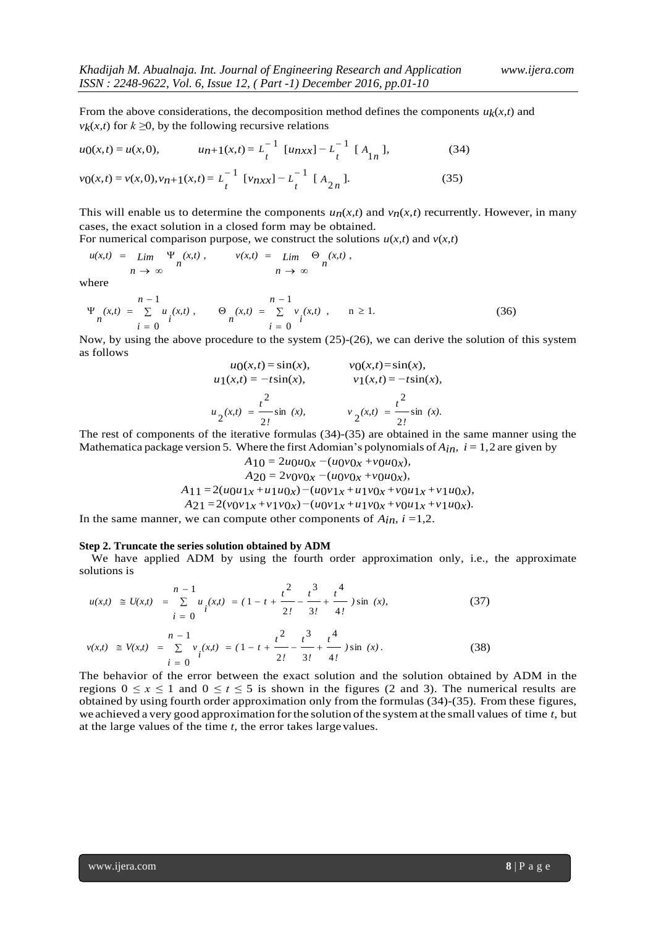From the above considerations, the decomposition method defines the components  $u_k(x,t)$  and *v<sub>k</sub>*(*x,t*) for  $k \geq 0$ , by the following recursive relations

$$
u_0(x,t) = u(x,0), \qquad u_{n+1}(x,t) = L_t^{-1} \left[ u_{n+1} - L_t^{-1} \right] \left[ A_{1n} \right], \tag{34}
$$

$$
v_0(x,t) = v(x,0), v_{n+1}(x,t) = L_t^{-1} [v_{nxx}] - L_t^{-1} [A_{2n}].
$$
\n(35)

This will enable us to determine the components  $u_n(x,t)$  and  $v_n(x,t)$  recurrently. However, in many cases, the exact solution in a closed form may be obtained.

For numerical comparison purpose, we construct the solutions  $u(x,t)$  and  $v(x,t)$ 

$$
u(x,t) = \lim_{n \to \infty} \frac{\Psi_n(x,t)}{n}, \qquad v(x,t) = \lim_{n \to \infty} \frac{\Theta_n(x,t)}{n},
$$

where

$$
\Psi_{n}(x,t) = \sum_{i=0}^{n-1} u_{i}(x,t), \qquad \Theta_{n}(x,t) = \sum_{i=0}^{n-1} v_{i}(x,t), \qquad n \ge 1.
$$
 (36)

Now, by using the above procedure to the system (25)-(26), we can derive the solution of this system as follows

$$
u_0(x, t) = \sin(x), \t v_0(x, t) = \sin(x),
$$
  
\n
$$
u_1(x, t) = -t \sin(x), \t v_1(x, t) = -t \sin(x),
$$
  
\n
$$
u_2(x, t) = \frac{t^2}{2!} \sin(x), \t v_2(x, t) = \frac{t^2}{2!} \sin(x).
$$

The rest of components of the iterative formulas (34)-(35) are obtained in the same manner using the Mathematica package version 5. Where the first Adomian's polynomials of  $A_{in}$ ,  $i = 1, 2$  are given by

$$
A_{10} = 2u_0u_{0x} - (u_0v_{0x} + v_0u_{0x}),
$$
  
\n
$$
A_{20} = 2v_0v_{0x} - (u_0v_{0x} + v_0u_{0x}),
$$
  
\n
$$
A_{11} = 2(u_0u_{1x} + u_1u_{0x}) - (u_0v_{1x} + u_1v_{0x} + v_0u_{1x} + v_1u_{0x}),
$$
  
\n
$$
A_{21} = 2(v_0v_{1x} + v_1v_{0x}) - (u_0v_{1x} + u_1v_{0x} + v_0u_{1x} + v_1u_{0x}).
$$

In the same manner, we can compute other components of  $A_{in}$ ,  $i = 1, 2$ .

#### **Step 2. Truncate the series solution obtained by ADM**

We have applied ADM by using the fourth order approximation only, i.e., the approximate solutions is

$$
u(x,t) \cong U(x,t) = \sum_{i=0}^{n-1} u_i(x,t) = (1 - t + \frac{t^2}{2!} - \frac{t^3}{3!} + \frac{t^4}{4!}) \sin (x),
$$
(37)  

$$
v(x,t) \cong V(x,t) = \sum_{i=0}^{n-1} v_i(x,t) = (1 - t + \frac{t^2}{2!} - \frac{t^3}{3!} + \frac{t^4}{4!}) \sin (x).
$$
(38)

The behavior of the error between the exact solution and the solution obtained by ADM in the regions  $0 \le x \le 1$  and  $0 \le t \le 5$  is shown in the figures (2 and 3). The numerical results are obtained by using fourth order approximation only from the formulas (34)-(35). From these figures, we achieved a very good approximation forthe solution ofthe system at the small values of time *t*, but at the large values of the time *t*, the error takes large values.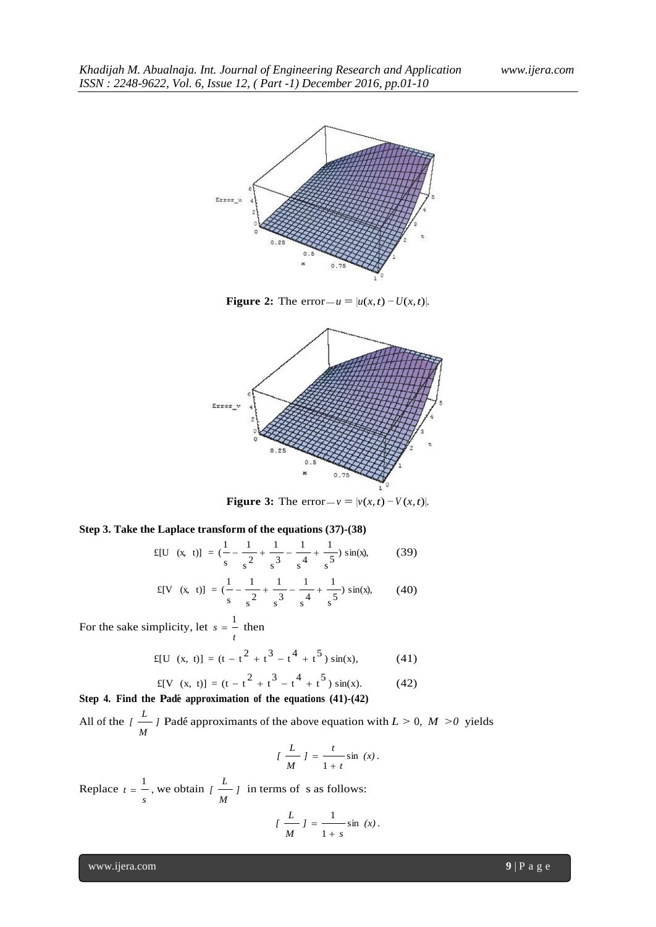

**Figure 2:** The error $-u = |u(x, t) - U(x, t)|$ .



**Figure 3:** The error $-v = |v(x, t) - V(x, t)|$ .

## **Step 3. Take the Laplace transform of the equations (37)-(38)**

$$
f[U(x, t)] = (\frac{1}{s} - \frac{1}{s^2} + \frac{1}{s^3} - \frac{1}{s^4} + \frac{1}{s^5}) \sin(x),
$$
 (39)

$$
E[V(x, t)] = (\frac{1}{s} - \frac{1}{s^2} + \frac{1}{s^3} - \frac{1}{s^4} + \frac{1}{s^5}) \sin(x), \qquad (40)
$$

For the sake simplicity, let *t*  $s = \frac{1}{s}$  then

$$
f[U(x, t)] = (t - t2 + t3 - t4 + t5) sin(x), \qquad (41)
$$

$$
f[V(x, t)] = (t - t2 + t3 - t4 + t5) sin(x).
$$
 (42)

**Step 4. Find the Pad´e approximation of the equations (41)-(42)** All of the  $\int$   $\frac{L}{l}$ *M*  $\frac{L}{L}$  Padé approximants of the above equation with  $L > 0$ ,  $M > 0$  yields

$$
\left\{\frac{L}{M}\right\} = \frac{t}{1+t}\sin(x).
$$

Replace *s*  $t = \frac{1}{\tau}$ , we obtain  $\left(\frac{L}{\tau}\right)$ *M*  $\frac{L}{L}$  in terms of s as follows:

$$
\left(\frac{L}{M}\right) = \frac{1}{1+s} \sin(x).
$$

www.ijera.com **9** | P a g e